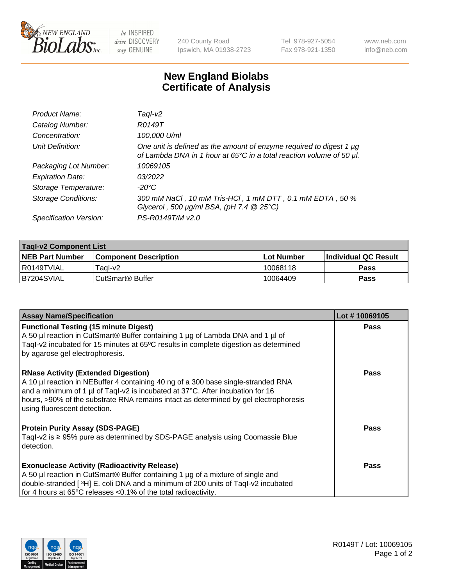

 $be$  INSPIRED drive DISCOVERY stay GENUINE

240 County Road Ipswich, MA 01938-2723 Tel 978-927-5054 Fax 978-921-1350 www.neb.com info@neb.com

## **New England Biolabs Certificate of Analysis**

| Product Name:              | Taql-v2                                                                                                                                                    |
|----------------------------|------------------------------------------------------------------------------------------------------------------------------------------------------------|
| Catalog Number:            | R0149T                                                                                                                                                     |
| Concentration:             | 100,000 U/ml                                                                                                                                               |
| Unit Definition:           | One unit is defined as the amount of enzyme required to digest 1 µg<br>of Lambda DNA in 1 hour at 65 $\degree$ C in a total reaction volume of 50 $\mu$ l. |
| Packaging Lot Number:      | 10069105                                                                                                                                                   |
| <b>Expiration Date:</b>    | 03/2022                                                                                                                                                    |
| Storage Temperature:       | $-20^{\circ}$ C                                                                                                                                            |
| <b>Storage Conditions:</b> | 300 mM NaCl, 10 mM Tris-HCl, 1 mM DTT, 0.1 mM EDTA, 50 %<br>Glycerol, 500 $\mu$ g/ml BSA, (pH 7.4 $@$ 25°C)                                                |
| Specification Version:     | PS-R0149T/M v2.0                                                                                                                                           |

| <b>Tagl-v2 Component List</b> |                              |             |                             |  |  |
|-------------------------------|------------------------------|-------------|-----------------------------|--|--|
| <b>NEB Part Number</b>        | <b>Component Description</b> | ⊺Lot Number | <b>Individual QC Result</b> |  |  |
| I R0149TVIAL                  | Tagl-v2                      | 10068118    | Pass                        |  |  |
| IB7204SVIAL                   | CutSmart <sup>®</sup> Buffer | 10064409    | <b>Pass</b>                 |  |  |

| <b>Assay Name/Specification</b>                                                                                                                                                                                                                                                                                                           | Lot #10069105 |
|-------------------------------------------------------------------------------------------------------------------------------------------------------------------------------------------------------------------------------------------------------------------------------------------------------------------------------------------|---------------|
| <b>Functional Testing (15 minute Digest)</b><br>A 50 µl reaction in CutSmart® Buffer containing 1 µg of Lambda DNA and 1 µl of<br>Tagl-v2 incubated for 15 minutes at 65°C results in complete digestion as determined<br>by agarose gel electrophoresis.                                                                                 | Pass          |
| <b>RNase Activity (Extended Digestion)</b><br>A 10 µl reaction in NEBuffer 4 containing 40 ng of a 300 base single-stranded RNA<br>and a minimum of 1 µl of Taql-v2 is incubated at 37°C. After incubation for 16<br>hours, >90% of the substrate RNA remains intact as determined by gel electrophoresis<br>using fluorescent detection. | <b>Pass</b>   |
| <b>Protein Purity Assay (SDS-PAGE)</b><br>Tagl-v2 is $\geq$ 95% pure as determined by SDS-PAGE analysis using Coomassie Blue<br>detection.                                                                                                                                                                                                | Pass          |
| <b>Exonuclease Activity (Radioactivity Release)</b>                                                                                                                                                                                                                                                                                       | Pass          |
| A 50 µl reaction in CutSmart® Buffer containing 1 µg of a mixture of single and                                                                                                                                                                                                                                                           |               |
| double-stranded [3H] E. coli DNA and a minimum of 200 units of Taql-v2 incubated<br>for 4 hours at 65°C releases <0.1% of the total radioactivity.                                                                                                                                                                                        |               |